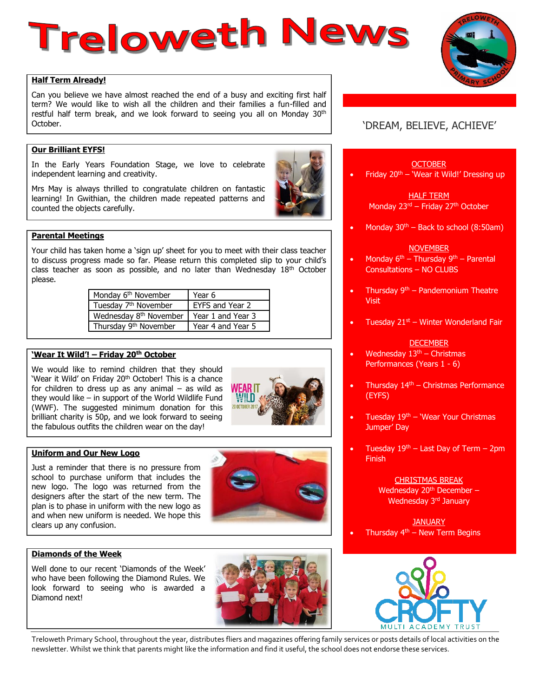# Treloweth News

#### **Half Term Already!**

Can you believe we have almost reached the end of a busy and exciting first half term? We would like to wish all the children and their families a fun-filled and restful half term break, and we look forward to seeing you all on Monday 30<sup>th</sup> October.

## **Our Brilliant EYFS!**

In the Early Years Foundation Stage, we love to celebrate independent learning and creativity.

Mrs May is always thrilled to congratulate children on fantastic learning! In Gwithian, the children made repeated patterns and counted the objects carefully.



Your child has taken home a 'sign up' sheet for you to meet with their class teacher to discuss progress made so far. Please return this completed slip to your child's class teacher as soon as possible, and no later than Wednesday 18<sup>th</sup> October please.

| Monday 6 <sup>th</sup> November    | Year 6            |
|------------------------------------|-------------------|
| Tuesday 7 <sup>th</sup> November   | EYFS and Year 2   |
| Wednesday 8 <sup>th</sup> November | Year 1 and Year 3 |
| Thursday 9 <sup>th</sup> November  | Year 4 and Year 5 |

#### **'Wear It Wild'! – Friday 20th October**

We would like to remind children that they should 'Wear it Wild' on Friday 20<sup>th</sup> October! This is a chance for children to dress up as any animal  $-$  as wild as they would like – in support of the World Wildlife Fund (WWF). The suggested minimum donation for this brilliant charity is 50p, and we look forward to seeing the fabulous outfits the children wear on the day!



#### **Uniform and Our New Logo**

Just a reminder that there is no pressure from school to purchase uniform that includes the new logo. The logo was returned from the designers after the start of the new term. The plan is to phase in uniform with the new logo as and when new uniform is needed. We hope this clears up any confusion.



## **Diamonds of the Week**

Well done to our recent 'Diamonds of the Week' who have been following the Diamond Rules. We look forward to seeing who is awarded a Diamond next!



# 'DREAM, BELIEVE, ACHIEVE'

**OCTOBER** 

Friday  $20<sup>th</sup>$  – 'Wear it Wild!' Dressing up

HALF TERM Monday 23<sup>rd</sup> – Friday 27<sup>th</sup> October

Monday  $30<sup>th</sup>$  – Back to school (8:50am)

#### **NOVEMBER**

- Monday  $6<sup>th</sup>$  Thursday  $9<sup>th</sup>$  Parental Consultations – NO CLUBS
- Thursday  $9<sup>th</sup>$  Pandemonium Theatre **Visit**
- Tuesday  $21<sup>st</sup>$  Winter Wonderland Fair

#### DECEMBER

- Wednesday  $13<sup>th</sup>$  Christmas Performances (Years 1 - 6)
- Thursday  $14<sup>th</sup>$  Christmas Performance (EYFS)
- Tuesday  $19<sup>th</sup>$  'Wear Your Christmas Jumper' Day
- Tuesday  $19<sup>th</sup>$  Last Day of Term 2pm Finish

CHRISTMAS BREAK Wednesday 20<sup>th</sup> December -Wednesday 3<sup>rd</sup> January

#### **JANUARY** Thursday  $4<sup>th</sup>$  – New Term Begins



Treloweth Primary School, throughout the year, distributes fliers and magazines offering family services or posts details of local activities on the newsletter. Whilst we think that parents might like the information and find it useful, the school does not endorse these services.